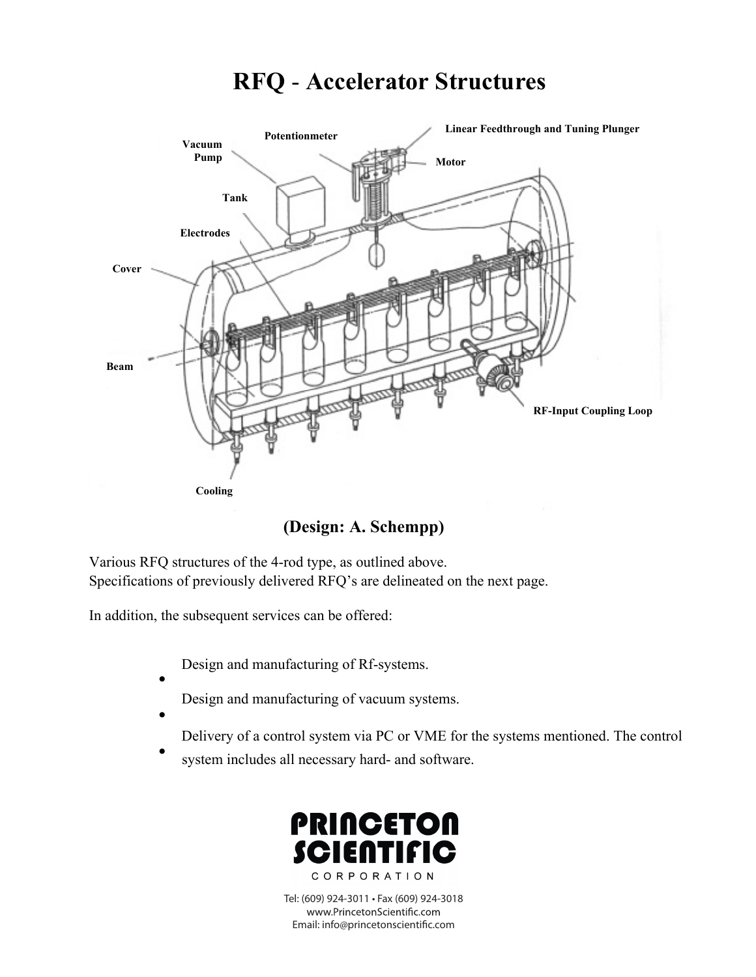# **RFQ** - **Accelerator Structures**



 **(Design: A. Schempp)**

Various RFQ structures of the 4-rod type, as outlined above. Specifications of previously delivered RFQ's are delineated on the next page.

In addition, the subsequent services can be offered:

•

•

Design and manufacturing of Rf-systems.

- Design and manufacturing of vacuum systems.
- Delivery of a control system via PC or VME for the systems mentioned. The control
- system includes all necessary hard- and software.



Tel: (609) 924-3011 • Fax (609) 924-3018 www.PrincetonScientific.com Email: info@princetonscientific.com